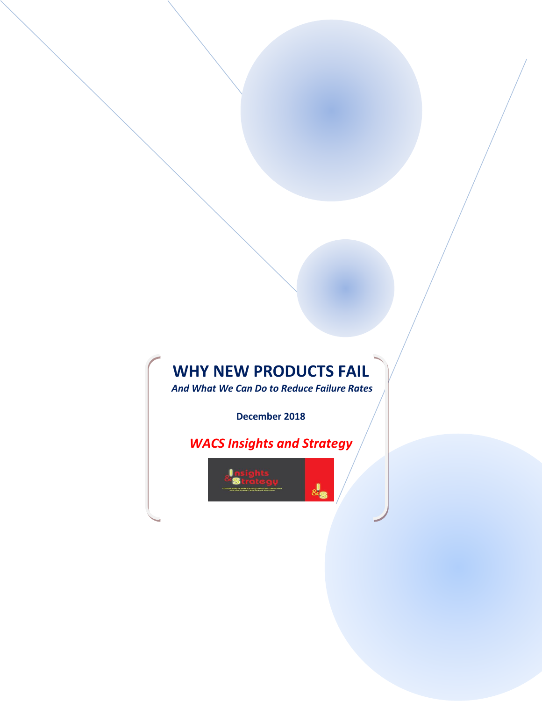# **WHY NEW PRODUCTS FAIL**

*And What We Can Do to Reduce Failure Rates*

**December 2018**

*WACS Insights and Strategy*

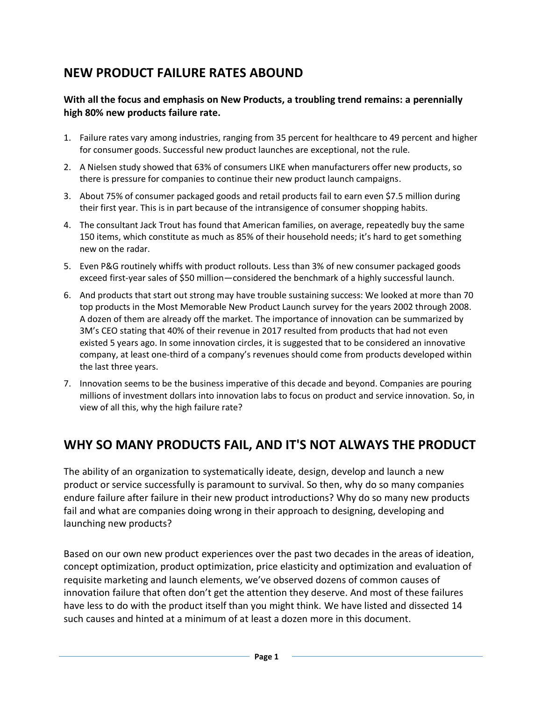# **NEW PRODUCT FAILURE RATES ABOUND**

### **With all the focus and emphasis on New Products, a troubling trend remains: a perennially high 80% new products failure rate.**

- 1. Failure rates vary among industries, ranging from 35 percent for healthcare to 49 percent and higher for consumer goods. Successful new product launches are exceptional, not the rule.
- 2. A Nielsen study showed that 63% of consumers LIKE when manufacturers offer new products, so there is pressure for companies to continue their new product launch campaigns.
- 3. About 75% of consumer packaged goods and retail products fail to earn even \$7.5 million during their first year. This is in part because of the intransigence of consumer shopping habits.
- 4. The consultant Jack Trout has found that American families, on average, repeatedly buy the same 150 items, which constitute as much as 85% of their household needs; it's hard to get something new on the radar.
- 5. Even P&G routinely whiffs with product rollouts. Less than 3% of new consumer packaged goods exceed first-year sales of \$50 million—considered the benchmark of a highly successful launch.
- 6. And products that start out strong may have trouble sustaining success: We looked at more than 70 top products in the Most Memorable New Product Launch survey for the years 2002 through 2008. A dozen of them are already off the market. The importance of innovation can be summarized by 3M's CEO stating that 40% of their revenue in 2017 resulted from products that had not even existed 5 years ago. In some innovation circles, it is suggested that to be considered an innovative company, at least one-third of a company's revenues should come from products developed within the last three years.
- 7. Innovation seems to be the business imperative of this decade and beyond. Companies are pouring millions of investment dollars into innovation labs to focus on product and service innovation. So, in view of all this, why the high failure rate?

# **WHY SO MANY PRODUCTS FAIL, AND IT'S NOT ALWAYS THE PRODUCT**

The ability of an organization to systematically ideate, design, develop and launch a new product or service successfully is paramount to survival. So then, why do so many companies endure failure after failure in their new product introductions? Why do so many new products fail and what are companies doing wrong in their approach to designing, developing and launching new products?

Based on our own new product experiences over the past two decades in the areas of ideation, concept optimization, product optimization, price elasticity and optimization and evaluation of requisite marketing and launch elements, we've observed dozens of common causes of innovation failure that often don't get the attention they deserve. And most of these failures have less to do with the product itself than you might think. We have listed and dissected 14 such causes and hinted at a minimum of at least a dozen more in this document.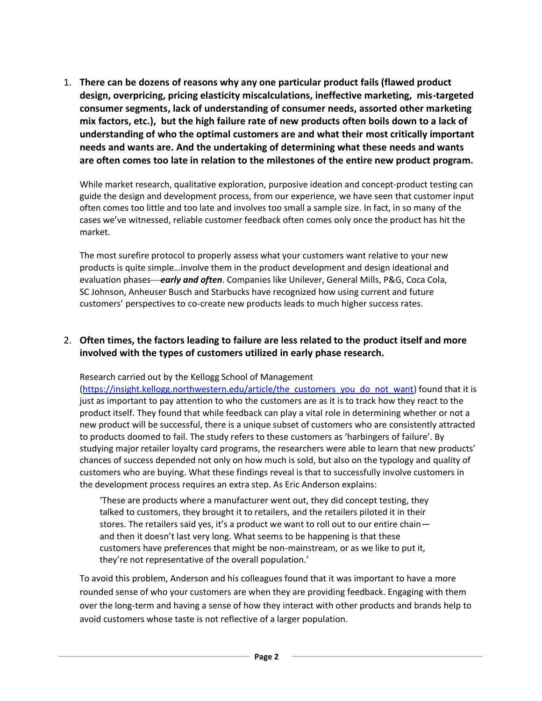1. **There can be dozens of reasons why any one particular product fails (flawed product design, overpricing, pricing elasticity miscalculations, ineffective marketing, mis-targeted consumer segments, lack of understanding of consumer needs, assorted other marketing mix factors, etc.), but the high failure rate of new products often boils down to a lack of understanding of who the optimal customers are and what their most critically important needs and wants are. And the undertaking of determining what these needs and wants are often comes too late in relation to the milestones of the entire new product program.**

While market research, qualitative exploration, purposive ideation and concept-product testing can guide the design and development process, from our experience, we have seen that customer input often comes too little and too late and involves too small a sample size. In fact, in so many of the cases we've witnessed, reliable customer feedback often comes only once the product has hit the market.

The most surefire protocol to properly assess what your customers want relative to your new products is quite simple…involve them in the product development and design ideational and evaluation phases*early and often*. Companies like Unilever, General Mills, P&G, Coca Cola, SC Johnson, Anheuser Busch and Starbucks have recognized how using current and future customers' perspectives to co-create new products leads to much higher success rates.

### 2. **Often times, the factors leading to failure are less related to the product itself and more involved with the types of customers utilized in early phase research.**

Research carried out by the Kellogg School of Management

[\(https://insight.kellogg.northwestern.edu/article/the\\_customers\\_you\\_do\\_not\\_want\)](https://insight.kellogg.northwestern.edu/article/the_customers_you_do_not_want) found that it is just as important to pay attention to who the customers are as it is to track how they react to the product itself. They found that while feedback can play a vital role in determining whether or not a new product will be successful, there is a unique subset of customers who are consistently attracted to products doomed to fail. The study refers to these customers as 'harbingers of failure'. By studying major retailer loyalty card programs, the researchers were able to learn that new products' chances of success depended not only on how much is sold, but also on the typology and quality of customers who are buying. What these findings reveal is that to successfully involve customers in the development process requires an extra step. As Eric Anderson explains:

'These are products where a manufacturer went out, they did concept testing, they talked to customers, they brought it to retailers, and the retailers piloted it in their stores. The retailers said yes, it's a product we want to roll out to our entire chain and then it doesn't last very long. What seems to be happening is that these customers have preferences that might be non-mainstream, or as we like to put it, they're not representative of the overall population.'

To avoid this problem, Anderson and his colleagues found that it was important to have a more rounded sense of who your customers are when they are providing feedback. Engaging with them over the long-term and having a sense of how they interact with other products and brands help to avoid customers whose taste is not reflective of a larger population.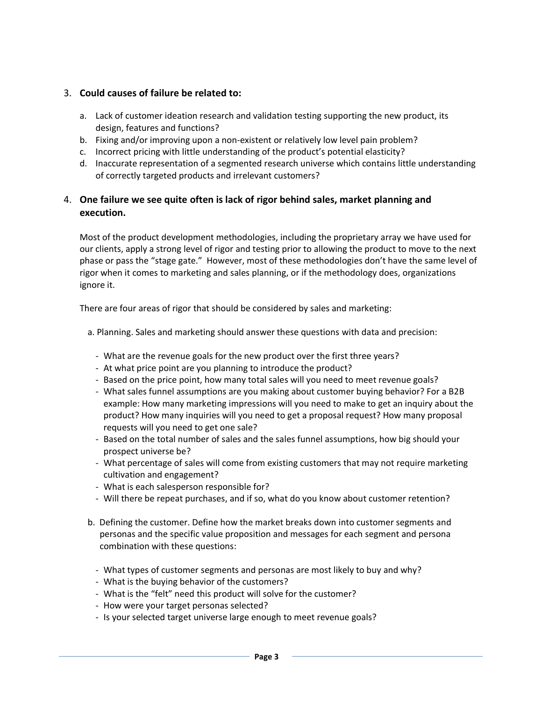#### 3. **Could causes of failure be related to:**

- a. Lack of customer ideation research and validation testing supporting the new product, its design, features and functions?
- b. Fixing and/or improving upon a non-existent or relatively low level pain problem?
- c. Incorrect pricing with little understanding of the product's potential elasticity?
- d. Inaccurate representation of a segmented research universe which contains little understanding of correctly targeted products and irrelevant customers?

### 4. **One failure we see quite often is lack of rigor behind sales, market planning and execution.**

Most of the product development methodologies, including the proprietary array we have used for our clients, apply a strong level of rigor and testing prior to allowing the product to move to the next phase or pass the "stage gate." However, most of these methodologies don't have the same level of rigor when it comes to marketing and sales planning, or if the methodology does, organizations ignore it.

There are four areas of rigor that should be considered by sales and marketing:

a. Planning. Sales and marketing should answer these questions with data and precision:

- What are the revenue goals for the new product over the first three years?
- At what price point are you planning to introduce the product?
- Based on the price point, how many total sales will you need to meet revenue goals?
- What sales funnel assumptions are you making about customer buying behavior? For a B2B example: How many marketing impressions will you need to make to get an inquiry about the product? How many inquiries will you need to get a proposal request? How many proposal requests will you need to get one sale?
- Based on the total number of sales and the sales funnel assumptions, how big should your prospect universe be?
- What percentage of sales will come from existing customers that may not require marketing cultivation and engagement?
- What is each salesperson responsible for?
- Will there be repeat purchases, and if so, what do you know about customer retention?
- b. Defining the customer. Define how the market breaks down into customer segments and personas and the specific value proposition and messages for each segment and persona combination with these questions:
	- What types of customer segments and personas are most likely to buy and why?
	- What is the buying behavior of the customers?
	- What is the "felt" need this product will solve for the customer?
	- How were your target personas selected?
	- Is your selected target universe large enough to meet revenue goals?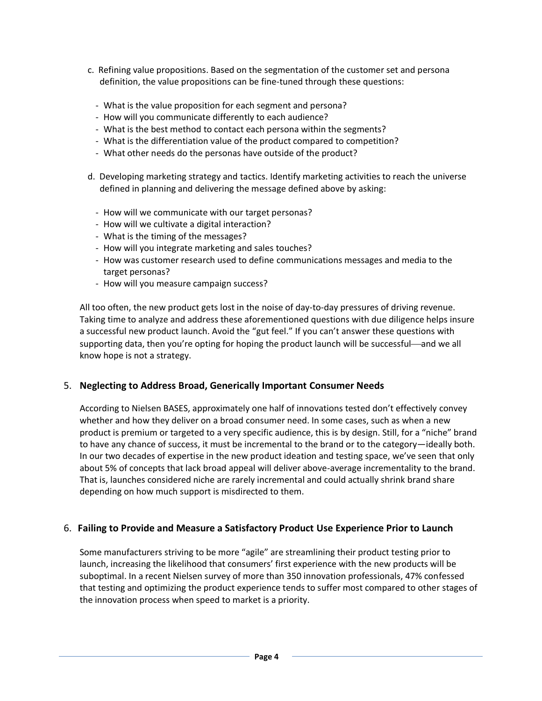- c. Refining value propositions. Based on the segmentation of the customer set and persona definition, the value propositions can be fine-tuned through these questions:
	- What is the value proposition for each segment and persona?
	- How will you communicate differently to each audience?
	- What is the best method to contact each persona within the segments?
	- What is the differentiation value of the product compared to competition?
	- What other needs do the personas have outside of the product?
- d. Developing marketing strategy and tactics. Identify marketing activities to reach the universe defined in planning and delivering the message defined above by asking:
	- How will we communicate with our target personas?
	- How will we cultivate a digital interaction?
	- What is the timing of the messages?
	- How will you integrate marketing and sales touches?
	- How was customer research used to define communications messages and media to the target personas?
	- How will you measure campaign success?

All too often, the new product gets lost in the noise of day-to-day pressures of driving revenue. Taking time to analyze and address these aforementioned questions with due diligence helps insure a successful new product launch. Avoid the "gut feel." If you can't answer these questions with supporting data, then you're opting for hoping the product launch will be successful—and we all know hope is not a strategy.

#### 5. **Neglecting to Address Broad, Generically Important Consumer Needs**

According to Nielsen BASES, approximately one half of innovations tested don't effectively convey whether and how they deliver on a broad consumer need. In some cases, such as when a new product is premium or targeted to a very specific audience, this is by design. Still, for a "niche" brand to have any chance of success, it must be incremental to the brand or to the category—ideally both. In our two decades of expertise in the new product ideation and testing space, we've seen that only about 5% of concepts that lack broad appeal will deliver above-average incrementality to the brand. That is, launches considered niche are rarely incremental and could actually shrink brand share depending on how much support is misdirected to them.

#### 6. **Failing to Provide and Measure a Satisfactory Product Use Experience Prior to Launch**

Some manufacturers striving to be more "agile" are streamlining their product testing prior to launch, increasing the likelihood that consumers' first experience with the new products will be suboptimal. In a recent Nielsen survey of more than 350 innovation professionals, 47% confessed that testing and optimizing the product experience tends to suffer most compared to other stages of the innovation process when speed to market is a priority.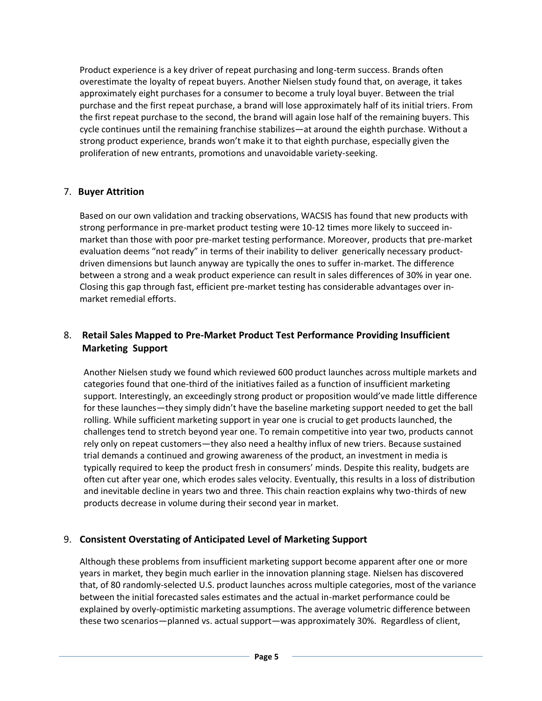Product experience is a key driver of repeat purchasing and long-term success. Brands often overestimate the loyalty of repeat buyers. Another Nielsen study found that, on average, it takes approximately eight purchases for a consumer to become a truly loyal buyer. Between the trial purchase and the first repeat purchase, a brand will lose approximately half of its initial triers. From the first repeat purchase to the second, the brand will again lose half of the remaining buyers. This cycle continues until the remaining franchise stabilizes—at around the eighth purchase. Without a strong product experience, brands won't make it to that eighth purchase, especially given the proliferation of new entrants, promotions and unavoidable variety-seeking.

### 7. **Buyer Attrition**

Based on our own validation and tracking observations, WACSIS has found that new products with strong performance in pre-market product testing were 10-12 times more likely to succeed inmarket than those with poor pre-market testing performance. Moreover, products that pre-market evaluation deems "not ready" in terms of their inability to deliver generically necessary productdriven dimensions but launch anyway are typically the ones to suffer in-market. The difference between a strong and a weak product experience can result in sales differences of 30% in year one. Closing this gap through fast, efficient pre-market testing has considerable advantages over inmarket remedial efforts.

## 8. **Retail Sales Mapped to Pre-Market Product Test Performance Providing Insufficient Marketing Support**

Another Nielsen study we found which reviewed 600 product launches across multiple markets and categories found that one-third of the initiatives failed as a function of insufficient marketing support. Interestingly, an exceedingly strong product or proposition would've made little difference for these launches—they simply didn't have the baseline marketing support needed to get the ball rolling. While sufficient marketing support in year one is crucial to get products launched, the challenges tend to stretch beyond year one. To remain competitive into year two, products cannot rely only on repeat customers—they also need a healthy influx of new triers. Because sustained trial demands a continued and growing awareness of the product, an investment in media is typically required to keep the product fresh in consumers' minds. Despite this reality, budgets are often cut after year one, which erodes sales velocity. Eventually, this results in a loss of distribution and inevitable decline in years two and three. This chain reaction explains why two-thirds of new products decrease in volume during their second year in market.

#### 9. **Consistent Overstating of Anticipated Level of Marketing Support**

Although these problems from insufficient marketing support become apparent after one or more years in market, they begin much earlier in the innovation planning stage. Nielsen has discovered that, of 80 randomly-selected U.S. product launches across multiple categories, most of the variance between the initial forecasted sales estimates and the actual in-market performance could be explained by overly-optimistic marketing assumptions. The average volumetric difference between these two scenarios—planned vs. actual support—was approximately 30%. Regardless of client,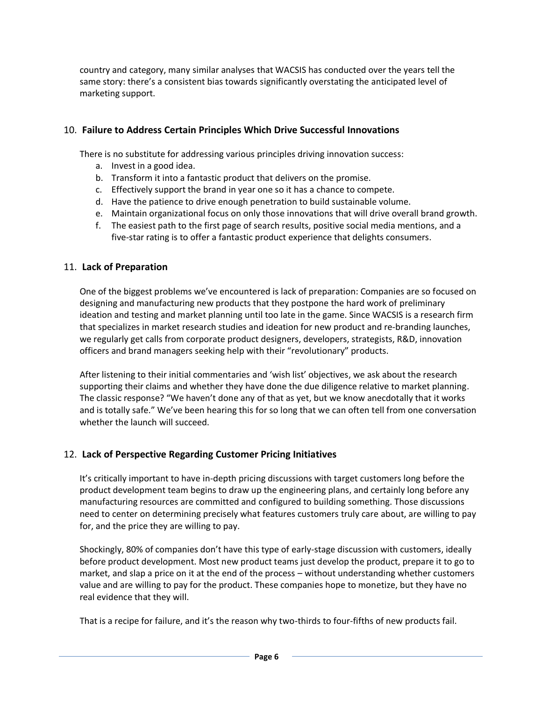country and category, many similar analyses that WACSIS has conducted over the years tell the same story: there's a consistent bias towards significantly overstating the anticipated level of marketing support.

#### 10. **Failure to Address Certain Principles Which Drive Successful Innovations**

There is no substitute for addressing various principles driving innovation success:

- a. Invest in a good idea.
- b. Transform it into a fantastic product that delivers on the promise.
- c. Effectively support the brand in year one so it has a chance to compete.
- d. Have the patience to drive enough penetration to build sustainable volume.
- e. Maintain organizational focus on only those innovations that will drive overall brand growth.
- f. The easiest path to the first page of search results, positive social media mentions, and a five-star rating is to offer a fantastic product experience that delights consumers.

### 11. **Lack of Preparation**

One of the biggest problems we've encountered is lack of preparation: Companies are so focused on designing and manufacturing new products that they postpone the hard work of preliminary ideation and testing and market planning until too late in the game. Since WACSIS is a research firm that specializes in market research studies and ideation for new product and re-branding launches, we regularly get calls from corporate product designers, developers, strategists, R&D, innovation officers and brand managers seeking help with their "revolutionary" products.

After listening to their initial commentaries and 'wish list' objectives, we ask about the research supporting their claims and whether they have done the due diligence relative to market planning. The classic response? "We haven't done any of that as yet, but we know anecdotally that it works and is totally safe." We've been hearing this for so long that we can often tell from one conversation whether the launch will succeed.

# 12. **Lack of Perspective Regarding Customer Pricing Initiatives**

It's critically important to have in-depth pricing discussions with target customers long before the product development team begins to draw up the engineering plans, and certainly long before any manufacturing resources are committed and configured to building something. Those discussions need to center on determining precisely what features customers truly care about, are willing to pay for, and the price they are willing to pay.

Shockingly, 80% of companies don't have this type of early-stage discussion with customers, ideally before product development. Most new product teams just develop the product, prepare it to go to market, and slap a price on it at the end of the process – without understanding whether customers value and are willing to pay for the product. These companies hope to monetize, but they have no real evidence that they will.

That is a recipe for failure, and it's the reason why two-thirds to four-fifths of new products fail.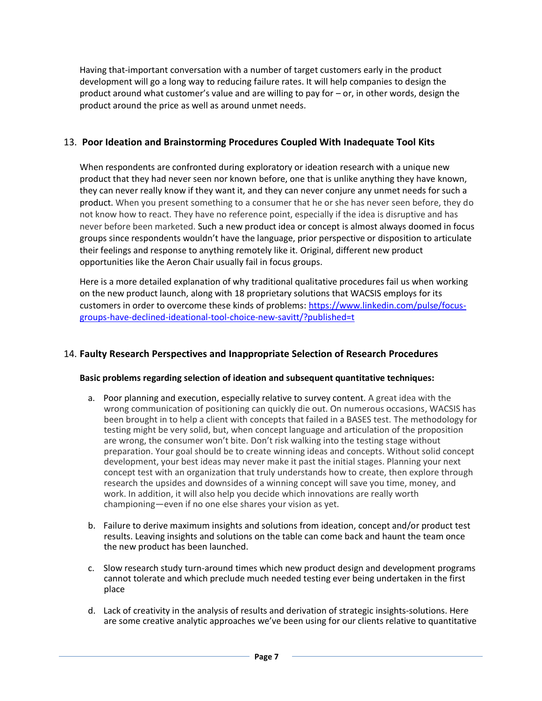Having that-important conversation with a number of target customers early in the product development will go a long way to reducing failure rates. It will help companies to design the product around what customer's value and are willing to pay for – or, in other words, design the product around the price as well as around unmet needs.

#### 13. **Poor Ideation and Brainstorming Procedures Coupled With Inadequate Tool Kits**

When respondents are confronted during exploratory or ideation research with a unique new product that they had never seen nor known before, one that is unlike anything they have known, they can never really know if they want it, and they can never conjure any unmet needs for such a product. When you present something to a consumer that he or she has never seen before, they do not know how to react. They have no reference point, especially if the idea is disruptive and has never before been marketed. Such a new product idea or concept is almost always doomed in focus groups since respondents wouldn't have the language, prior perspective or disposition to articulate their feelings and response to anything remotely like it. Original, different new product opportunities like the Aeron Chair usually fail in focus groups.

Here is a more detailed explanation of why traditional qualitative procedures fail us when working on the new product launch, along with 18 proprietary solutions that WACSIS employs for its customers in order to overcome these kinds of problems: [https://www.linkedin.com/pulse/focus](https://www.linkedin.com/pulse/focus-groups-have-declined-ideational-tool-choice-new-savitt/?published=t)[groups-have-declined-ideational-tool-choice-new-savitt/?published=t](https://www.linkedin.com/pulse/focus-groups-have-declined-ideational-tool-choice-new-savitt/?published=t)

#### 14. **Faulty Research Perspectives and Inappropriate Selection of Research Procedures**

#### **Basic problems regarding selection of ideation and subsequent quantitative techniques:**

- a. Poor planning and execution, especially relative to survey content. A great idea with the wrong communication of positioning can quickly die out. On numerous occasions, WACSIS has been brought in to help a client with concepts that failed in a BASES test. The methodology for testing might be very solid, but, when concept language and articulation of the proposition are wrong, the consumer won't bite. Don't risk walking into the testing stage without preparation. Your goal should be to create winning ideas and concepts. Without solid concept development, your best ideas may never make it past the initial stages. Planning your next concept test with an organization that truly understands how to create, then explore through research the upsides and downsides of a winning concept will save you time, money, and work. In addition, it will also help you decide which innovations are really worth championing—even if no one else shares your vision as yet.
- b. Failure to derive maximum insights and solutions from ideation, concept and/or product test results. Leaving insights and solutions on the table can come back and haunt the team once the new product has been launched.
- c. Slow research study turn-around times which new product design and development programs cannot tolerate and which preclude much needed testing ever being undertaken in the first place
- d. Lack of creativity in the analysis of results and derivation of strategic insights-solutions. Here are some creative analytic approaches we've been using for our clients relative to quantitative